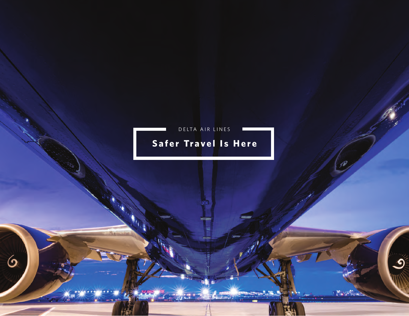

 $\mathcal{S}$ 

**Late Line** 

 $\circ$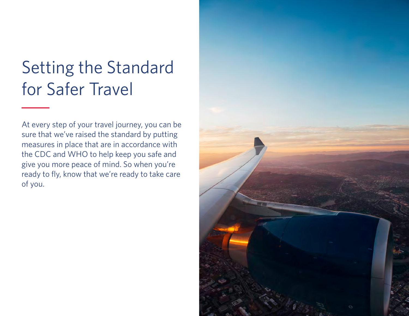# Setting the Standard for Safer Travel

At every step of your travel journey, you can be sure that we've raised the standard by putting measures in place that are in accordance with the CDC and WHO to help keep you safe and give you more peace of mind. So when you're ready to fly, know that we're ready to take care of you.

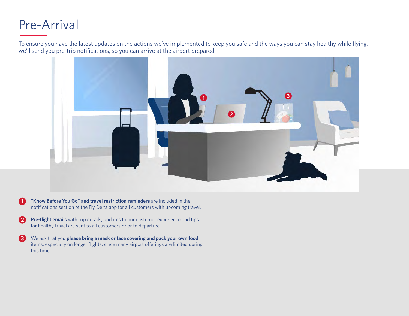#### Pre-Arrival

To ensure you have the latest updates on the actions we've implemented to keep you safe and the ways you can stay healthy while flying, we'll send you pre-trip notifications, so you can arrive at the airport prepared.



- 1. **"Know Before You Go" and travel restriction reminders** are included in the notifications section of the Fly Delta app for all customers with upcoming travel. **1**
- **Pre-flight emails** with trip details, updates to our customer experience and tips for healthy travel are sent to all customers prior to departure. **2**
- We ask that you **please bring a mask or face covering and pack your own food** items, especially on longer flights, since many airport offerings are limited during this time. **3**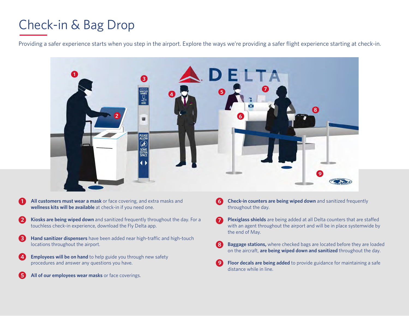# Check-in & Bag Drop

Providing a safer experience starts when you step in the airport. Explore the ways we're providing a safer flight experience starting at check-in.



- 1. **All customers must wear a mask** or face covering, and extra masks and **wellness kits will be available** at check-in if you need one. **1**
- 2. **Kiosks are being wiped down** and sanitized frequently throughout the day. For a touchless check-in experience, download the Fly Delta app. **2**
- Hand sanitizer dispensers have been added near high-traffic and high-touch locations throughout the airport. **3**
- **Employees will be on hand** to help guide you through new safety procedures and answer any questions you have. **4**
- All of our employees wear masks or face coverings. **5**
- **Check-in counters are being wiped down** and sanitized frequently throughout the day. **6**
- 7. **Plexiglass shields** are being added at all Delta counters that are staffed with an agent throughout the airport and will be in place systemwide by the end of May. **7**
- 8. **Baggage stations,** where checked bags are located before they are loaded on the aircraft, **are being wiped down and sanitized** throughout the day. **8**
- Floor decals are being added to provide guidance for maintaining a safe distance while in line. **9**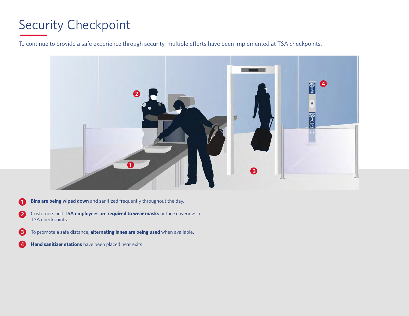# Security Checkpoint

To continue to provide a safe experience through security, multiple efforts have been implemented at TSA checkpoints.



- **Bins are being wiped down** and sanitized frequently throughout the day. **1**
- 2. Customers and **TSA employees are required to wear masks** or face coverings at TSA checkpoints. **2**
- 3. To promote a safe distance, **alternating lanes are being used** when available. **3**
- **Hand sanitizer stations** have been placed near exits. **4**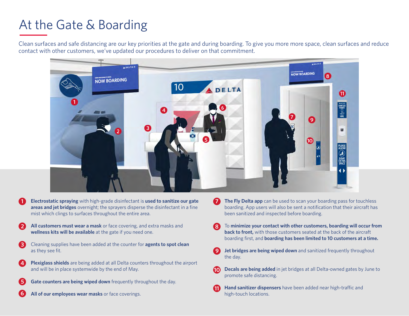# At the Gate & Boarding

Clean surfaces and safe distancing are our key priorities at the gate and during boarding. To give you more more space, clean surfaces and reduce contact with other customers, we've updated our procedures to deliver on that commitment.



- 1. **Electrostatic spraying** with high-grade disinfectant is **used to sanitize our gate areas and jet bridges** overnight; the sprayers disperse the disinfectant in a fine mist which clings to surfaces throughout the entire area. **1**
- 2. **All customers must wear a mask** or face covering, and extra masks and **wellness kits will be available** at the gate if you need one. **2**
- 3. Cleaning supplies have been added at the counter for **agents to spot clean** as they see fit. **3**
- **Plexiglass shields** are being added at all Delta counters throughout the airport and will be in place systemwide by the end of May. **4**
- **Gate counters are being wiped down** frequently throughout the day. **5**
- All of our employees wear masks or face coverings. **6**
- **The Fly Delta app** can be used to scan your boarding pass for touchless boarding. App users will also be sent a notification that their aircraft has been sanitized and inspected before boarding. **7**
- 8. To **minimize your contact with other customers, boarding will occur from back to front,** with those customers seated at the back of the aircraft boarding first, and **boarding has been limited to 10 customers at a time. 8**
- **Jet bridges are being wiped down** and sanitized frequently throughout the day. **9**
- 10. **Decals are being added** in jet bridges at all Delta-owned gates by June to promote safe distancing. **10**
- **Hand sanitizer dispensers** have been added near high-traffic and high-touch locations. **11**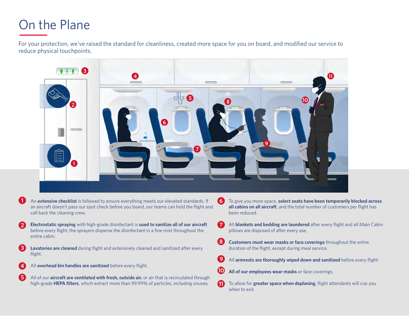# On the Plane

**1**

For your protection, we've raised the standard for cleanliness, created more space for you on board, and modified our service to reduce physical touchpoints.



- an aircraft doesn't pass our spot check before you board, our teams can hold the flight and call back the cleaning crew.
- 2. **Electrostatic spraying** with high-grade disinfectant is **used to sanitize all of our aircraft** before every flight; the sprayers disperse the disinfectant in a fine mist throughout the entire cabin. **2**
- **Lavatories are cleaned** during flight and extensively cleaned and sanitized after every flight. **3**
- 4. All **overhead bin handles are sanitized** before every flight. **4**
- 5. All of our **aircraft are ventilated with fresh, outside air**, or air that is recirculated through high-grade **HEPA filters**, which extract more than 99.99% of particles, including viruses. **5**
- 6. To give you more space, **select seats have been temporarily blocked across all cabins on all aircraft**, and the total number of customers per flight has been reduced.
- 7. All **blankets and bedding are laundered** after every flight and all Main Cabin pillows are disposed of after every use. **7**
- 8. **Customers must wear masks or face coverings** throughout the entire duration of the flight, except during meal service. **8**
- 9. All **armrests are thoroughly wiped down and sanitized** before every flight. **9**
- All of our employees wear masks or face coverings. **10**
- 11. To allow for **greater space when deplaning**, flight attendants will cue you when to exit. **11**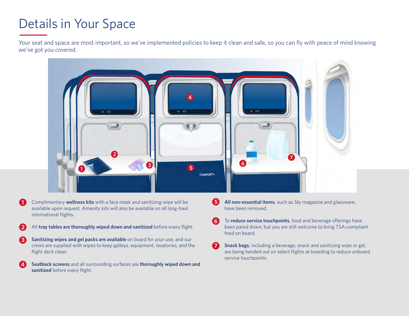# Details in Your Space

Your seat and space are most important, so we've implemented policies to keep it clean and safe, so you can fly with peace of mind knowing we've got you covered.



- 1. Complimentary **wellness kits** with a face mask and sanitizing wipe will be available upon request. Amenity kits will also be available on all long-haul international flights. **1**
- All **tray tables are thoroughly wiped down and sanitized** before every flight. **2**
- **Sanitizing wipes and gel packs are available** on board for your use, and our crews are supplied with wipes to keep galleys, equipment, lavatories, and the flight deck clean. **3**
- 4. **Seatback screens** and all surrounding surfaces are **thoroughly wiped down and sanitized** before every flight. **4**
- 5. **All non-essential items**, such as *Sky* magazine and glassware, have been removed. **5**
- 6. To **reduce service touchpoints**, food and beverage offerings have been pared down, but you are still welcome to bring TSA-compliant food on board. **6**
- **Snack bags**, including a beverage, snack and sanitizing wipe or gel, are being handed out on select flights at boarding to reduce onboard service touchpoints. **7**